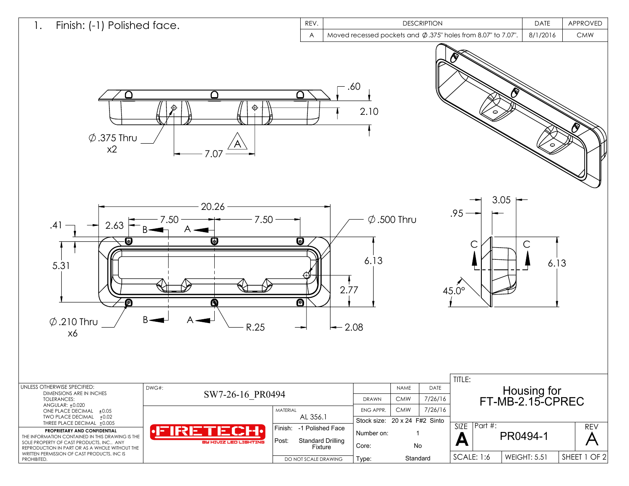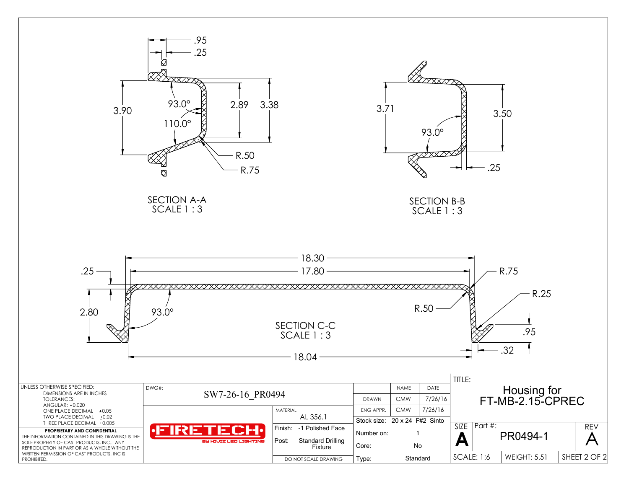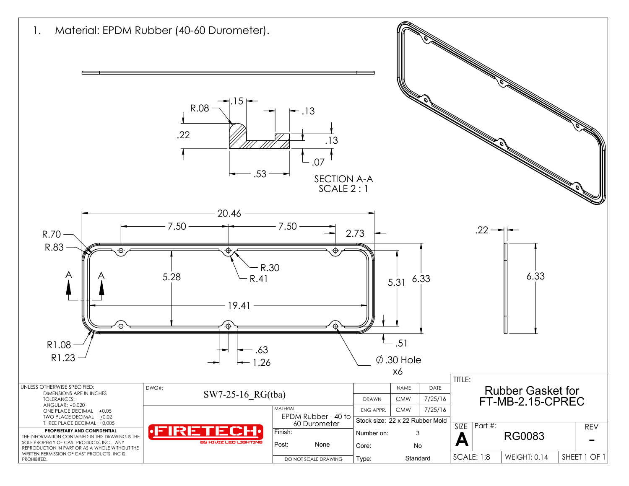